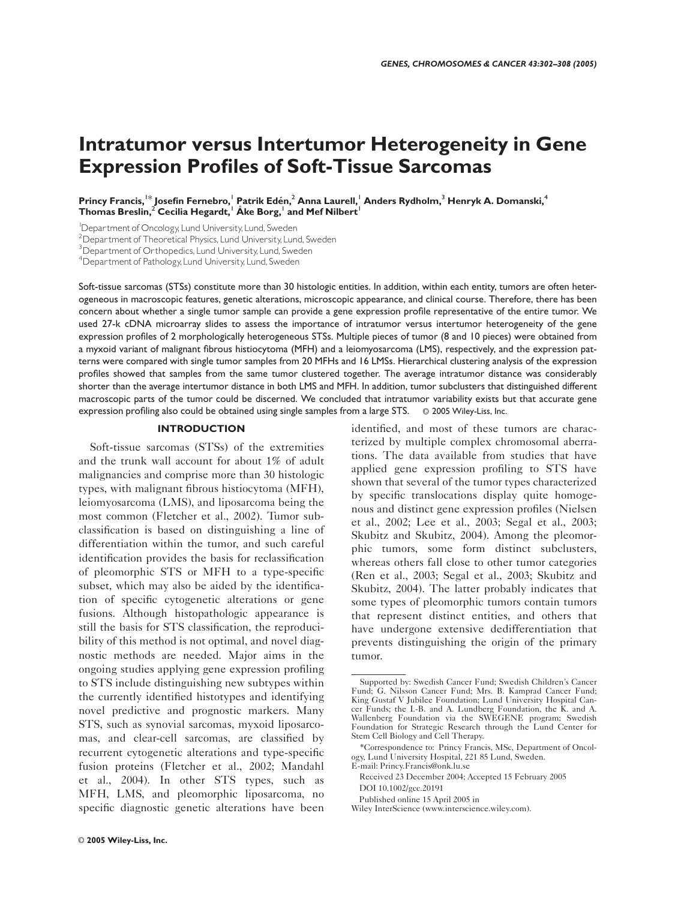# Intratumor versus Intertumor Heterogeneity in Gene Expression Profiles of Soft-Tissue Sarcomas

Princy Francis,<sup>1\*</sup> Josefin Fernebro,<sup>1</sup> Patrik Edén,<sup>2</sup> Anna Laurell,<sup>1</sup> Anders Rydholm,<sup>3</sup> Henryk A. Domanski,<sup>4</sup> Thomas Breslin,<sup>2</sup> Cecilia Hegardt,<sup>1</sup> Alke Borg,<sup>1</sup> and Mef Nilbert<sup>1</sup>

1 Department of Oncology,Lund University,Lund, Sweden

<sup>2</sup> Department of Theoretical Physics, Lund University, Lund, Sweden

<sup>3</sup> Department of Orthopedics, Lund University, Lund, Sweden

4 Department of Pathology,Lund University,Lund, Sweden

Soft-tissue sarcomas (STSs) constitute more than 30 histologic entities. In addition, within each entity, tumors are often heterogeneous in macroscopic features, genetic alterations, microscopic appearance, and clinical course. Therefore, there has been concern about whether a single tumor sample can provide a gene expression profile representative of the entire tumor. We used 27-k cDNA microarray slides to assess the importance of intratumor versus intertumor heterogeneity of the gene expression profiles of 2 morphologically heterogeneous STSs. Multiple pieces of tumor (8 and 10 pieces) were obtained from a myxoid variant of malignant fibrous histiocytoma (MFH) and a leiomyosarcoma (LMS), respectively, and the expression patterns were compared with single tumor samples from 20 MFHs and 16 LMSs. Hierarchical clustering analysis of the expression profiles showed that samples from the same tumor clustered together. The average intratumor distance was considerably shorter than the average intertumor distance in both LMS and MFH. In addition, tumor subclusters that distinguished different macroscopic parts of the tumor could be discerned. We concluded that intratumor variability exists but that accurate gene expression profiling also could be obtained using single samples from a large STS. © 2005 Wiley-Liss, Inc.

## INTRODUCTION

Soft-tissue sarcomas (STSs) of the extremities and the trunk wall account for about 1% of adult malignancies and comprise more than 30 histologic types, with malignant fibrous histiocytoma (MFH), leiomyosarcoma (LMS), and liposarcoma being the most common (Fletcher et al., 2002). Tumor subclassification is based on distinguishing a line of differentiation within the tumor, and such careful identification provides the basis for reclassification of pleomorphic STS or MFH to a type-specific subset, which may also be aided by the identification of specific cytogenetic alterations or gene fusions. Although histopathologic appearance is still the basis for STS classification, the reproducibility of this method is not optimal, and novel diagnostic methods are needed. Major aims in the ongoing studies applying gene expression profiling to STS include distinguishing new subtypes within the currently identified histotypes and identifying novel predictive and prognostic markers. Many STS, such as synovial sarcomas, myxoid liposarcomas, and clear-cell sarcomas, are classified by recurrent cytogenetic alterations and type-specific fusion proteins (Fletcher et al., 2002; Mandahl et al., 2004). In other STS types, such as MFH, LMS, and pleomorphic liposarcoma, no specific diagnostic genetic alterations have been identified, and most of these tumors are characterized by multiple complex chromosomal aberrations. The data available from studies that have applied gene expression profiling to STS have shown that several of the tumor types characterized by specific translocations display quite homogenous and distinct gene expression profiles (Nielsen et al., 2002; Lee et al., 2003; Segal et al., 2003; Skubitz and Skubitz, 2004). Among the pleomorphic tumors, some form distinct subclusters, whereas others fall close to other tumor categories (Ren et al., 2003; Segal et al., 2003; Skubitz and Skubitz, 2004). The latter probably indicates that some types of pleomorphic tumors contain tumors that represent distinct entities, and others that have undergone extensive dedifferentiation that prevents distinguishing the origin of the primary tumor.

Supported by: Swedish Cancer Fund; Swedish Children's Cancer Fund; G. Nilsson Cancer Fund; Mrs. B. Kamprad Cancer Fund; King Gustaf V Jubilee Foundation; Lund University Hospital Cancer Funds; the I.-B. and A. Lundberg Foundation, the K. and A. Wallenberg Foundation via the SWEGENE program; Swedish Foundation for Strategic Research through the Lund Center for Stem Cell Biology and Cell Therapy.

<sup>\*</sup>Correspondence to: Princy Francis, MSc, Department of Oncology, Lund University Hospital, 221 85 Lund, Sweden. E-mail: Princy.Francis@onk.lu.se

Received 23 December 2004; Accepted 15 February 2005 DOI 10.1002/gcc.20191

Published online 15 April 2005 in

Wiley InterScience (www.interscience.wiley.com).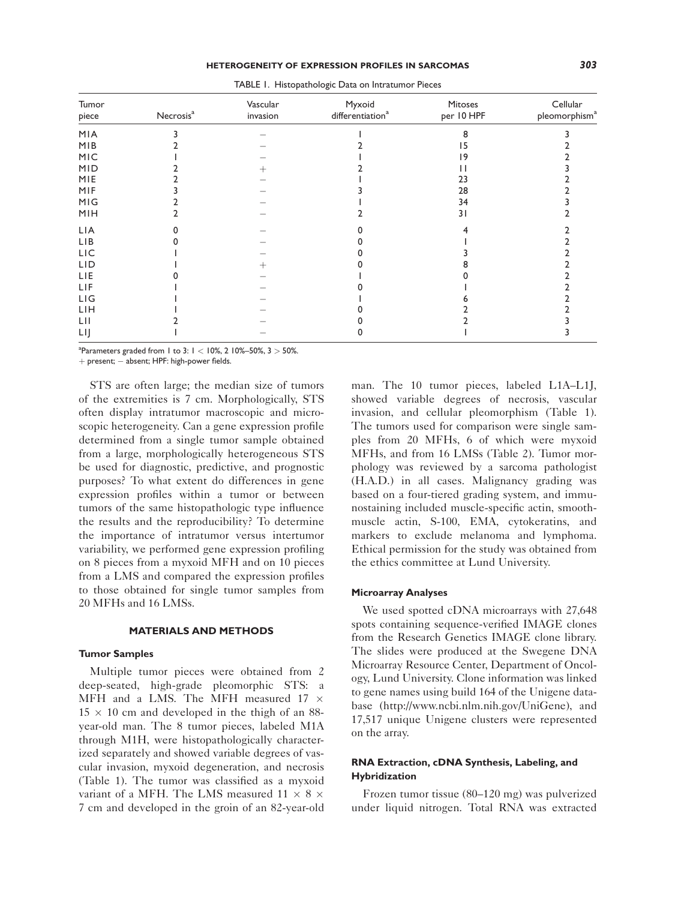| Tumor<br>piece | Necrosis <sup>a</sup> | Vascular<br>invasion | Myxoid<br>differentiation <sup>a</sup> | Mitoses<br>per 10 HPF | Cellular<br>pleomorphism <sup>a</sup> |
|----------------|-----------------------|----------------------|----------------------------------------|-----------------------|---------------------------------------|
| MIA            |                       |                      |                                        | 8                     |                                       |
| MIB            |                       |                      |                                        | 15                    |                                       |
| MIC            |                       |                      |                                        | 19                    |                                       |
| <b>MID</b>     |                       |                      |                                        |                       |                                       |
| MIE            |                       |                      |                                        | 23                    |                                       |
| MIF            |                       |                      |                                        | 28                    |                                       |
| MIG            |                       |                      |                                        | 34                    |                                       |
| MIH            |                       |                      |                                        | 31                    |                                       |
| LIA            |                       |                      |                                        |                       |                                       |
| LIB            |                       |                      |                                        |                       |                                       |
| LIC            |                       |                      |                                        |                       |                                       |
| LID            |                       | +                    |                                        |                       |                                       |
| LIE            |                       |                      |                                        |                       |                                       |
| LIF            |                       |                      |                                        |                       |                                       |
| LI             |                       |                      |                                        |                       |                                       |
| LIH            |                       |                      |                                        |                       |                                       |
| LII            |                       |                      |                                        |                       |                                       |
| LIJ            |                       |                      |                                        |                       |                                       |

TABLE 1. Histopathologic Data on Intratumor Pieces

 $a^2$ Parameters graded from 1 to 3:  $1 < 10\%$ , 2 10%–50%, 3  $> 50\%$ .

 $+$  present;  $-$  absent; HPF: high-power fields.

STS are often large; the median size of tumors of the extremities is 7 cm. Morphologically, STS often display intratumor macroscopic and microscopic heterogeneity. Can a gene expression profile determined from a single tumor sample obtained from a large, morphologically heterogeneous STS be used for diagnostic, predictive, and prognostic purposes? To what extent do differences in gene expression profiles within a tumor or between tumors of the same histopathologic type influence the results and the reproducibility? To determine the importance of intratumor versus intertumor variability, we performed gene expression profiling on 8 pieces from a myxoid MFH and on 10 pieces from a LMS and compared the expression profiles to those obtained for single tumor samples from 20 MFHs and 16 LMSs.

## MATERIALS AND METHODS

## Tumor Samples

Multiple tumor pieces were obtained from 2 deep-seated, high-grade pleomorphic STS: a MFH and a LMS. The MFH measured 17  $\times$  $15 \times 10$  cm and developed in the thigh of an 88year-old man. The 8 tumor pieces, labeled M1A through M1H, were histopathologically characterized separately and showed variable degrees of vascular invasion, myxoid degeneration, and necrosis (Table 1). The tumor was classified as a myxoid variant of a MFH. The LMS measured 11  $\times$  8  $\times$ 7 cm and developed in the groin of an 82-year-old man. The 10 tumor pieces, labeled L1A–L1J, showed variable degrees of necrosis, vascular invasion, and cellular pleomorphism (Table 1). The tumors used for comparison were single samples from 20 MFHs, 6 of which were myxoid MFHs, and from 16 LMSs (Table 2). Tumor morphology was reviewed by a sarcoma pathologist (H.A.D.) in all cases. Malignancy grading was based on a four-tiered grading system, and immunostaining included muscle-specific actin, smoothmuscle actin, S-100, EMA, cytokeratins, and markers to exclude melanoma and lymphoma. Ethical permission for the study was obtained from the ethics committee at Lund University.

## Microarray Analyses

We used spotted cDNA microarrays with 27,648 spots containing sequence-verified IMAGE clones from the Research Genetics IMAGE clone library. The slides were produced at the Swegene DNA Microarray Resource Center, Department of Oncology, Lund University. Clone information was linked to gene names using build 164 of the Unigene database (http://www.ncbi.nlm.nih.gov/UniGene), and 17,517 unique Unigene clusters were represented on the array.

# RNA Extraction, cDNA Synthesis, Labeling, and Hybridization

Frozen tumor tissue (80–120 mg) was pulverized under liquid nitrogen. Total RNA was extracted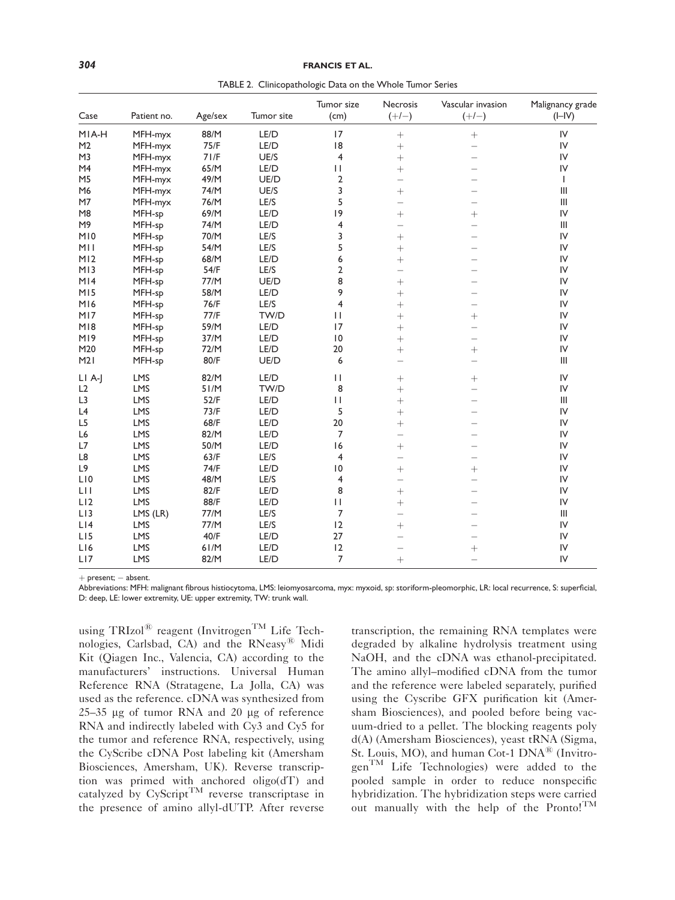| 304 | <b>FRANCIS ET AL.</b><br>_______ |
|-----|----------------------------------|
|     |                                  |

TABLE 2. Clinicopathologic Data on the Whole Tumor Series

| Case            | Patient no. | Age/sex | Tumor site | Tumor size<br>(cm)      | <b>Necrosis</b><br>$(+/-)$ | Vascular invasion<br>$(+/-)$ | Malignancy grade<br>$(I-IV)$       |
|-----------------|-------------|---------|------------|-------------------------|----------------------------|------------------------------|------------------------------------|
| MIA-H           | MFH-myx     | 88/M    | LE/D       | 17                      | $+$                        | $\boldsymbol{+}$             | IV                                 |
| M <sub>2</sub>  | MFH-myx     | 75/F    | LE/D       | 8                       | $+$                        | $\overline{\phantom{0}}$     | IV                                 |
| M3              | MFH-myx     | 71/F    | UE/S       | $\overline{4}$          | $^{+}$                     | $\overline{\phantom{0}}$     | IV                                 |
| M4              | MFH-myx     | 65/M    | LE/D       | П                       | $\ddot{}$                  |                              | IV                                 |
| M <sub>5</sub>  | MFH-myx     | 49/M    | UE/D       | $\overline{2}$          | $\overline{\phantom{0}}$   |                              | $\mathbf{I}$                       |
| M6              | MFH-myx     | 74/M    | UE/S       | 3                       | $+$                        | $\overline{\phantom{0}}$     | Ш                                  |
| M7              | MFH-myx     | 76/M    | LE/S       | 5                       | $\overline{\phantom{0}}$   | $\overline{\phantom{0}}$     | III                                |
| M <sub>8</sub>  | MFH-sp      | 69/M    | LE/D       | 9                       | $+$                        | $+$                          | IV                                 |
| M9              | MFH-sp      | 74/M    | LE/D       | 4                       | $\overline{\phantom{0}}$   | $\overline{\phantom{0}}$     | Ш                                  |
| MIO             | MFH-sp      | 70/M    | LE/S       | 3                       | $^{+}$                     |                              | IV                                 |
| MI I            | MFH-sp      | 54/M    | LE/S       | 5                       | $+$                        | $\overline{\phantom{0}}$     | ${\sf IV}$                         |
| M12             | MFH-sp      | 68/M    | LE/D       | 6                       | $^{+}$                     |                              | ${\sf IV}$                         |
| M13             | MFH-sp      | 54/F    | LE/S       | $\mathbf 2$             | $\overline{\phantom{0}}$   |                              | IV                                 |
| M14             | MFH-sp      | 77/M    | UE/D       | 8                       | $\ddot{}$                  | $\overline{\phantom{0}}$     | IV                                 |
| M15             | MFH-sp      | 58/M    | LE/D       | 9                       | $^{+}$                     | $\equiv$                     | IV                                 |
| M16             | MFH-sp      | 76/F    | LE/S       | $\overline{4}$          | $+$                        | $\overline{\phantom{0}}$     | IV                                 |
| MI7             | MFH-sp      | 77/F    | TW/D       | $\mathbf{H}$            | $+$                        | $+$                          | IV                                 |
| M18             | MFH-sp      | 59/M    | LE/D       | 17                      | $+$                        | $\overline{\phantom{0}}$     | ${\sf IV}$                         |
| M <sub>19</sub> | MFH-sp      | 37/M    | LE/D       | $\overline{10}$         | $^{+}$                     | $\overline{\phantom{0}}$     | ${\sf IV}$                         |
| M20             | MFH-sp      | 72/M    | LE/D       | 20                      | $+$                        | $+$                          | ${\sf IV}$                         |
| M21             | MFH-sp      | 80/F    | UE/D       | 6                       | $\overline{\phantom{0}}$   | $\overline{\phantom{0}}$     | Ш                                  |
| $LI$ A-J        | LMS         | 82/M    | LE/D       | $\mathbf{H}$            | $^{+}$                     | $+$                          | IV                                 |
| L2              | LMS         | 51/M    | TW/D       | 8                       | $+$                        | $\overline{\phantom{0}}$     | ${\sf IV}$                         |
| L <sub>3</sub>  | <b>LMS</b>  | 52/F    | LE/D       | П                       | $+$                        |                              | $\mathbf{III}$                     |
| L4              | LMS         | 73/F    | LE/D       | 5                       | $+$                        |                              | IV                                 |
| L <sub>5</sub>  | <b>LMS</b>  | 68/F    | LE/D       | 20                      | $^{+}$                     |                              | IV                                 |
| L <sub>6</sub>  | LMS         | 82/M    | LE/D       | $\overline{7}$          | $\overline{\phantom{0}}$   |                              | IV                                 |
| L7              | LMS         | 50/M    | LE/D       | 16                      | $+$                        | $\overline{\phantom{0}}$     | IV                                 |
| L8              | LMS         | 63/F    | LE/S       | $\overline{4}$          | $\overline{\phantom{0}}$   | $\overline{\phantom{0}}$     | IV                                 |
| L9              | <b>LMS</b>  | 74/F    | LE/D       | 10                      | $+$                        | $\boldsymbol{+}$             | IV                                 |
| LI0             | LMS         | 48/M    | LE/S       | $\overline{\mathbf{4}}$ | $\overline{\phantom{0}}$   | $\overline{\phantom{0}}$     | IV                                 |
| LH              | LMS         | 82/F    | LE/D       | 8                       | $+$                        |                              | IV                                 |
| L12             | <b>LMS</b>  | 88/F    | LE/D       | $\mathbf{H}$            | $+$                        | $\overline{\phantom{0}}$     | IV                                 |
| L13             | $LMS$ (LR)  | 77/M    | LE/S       | $\overline{7}$          | $\overline{\phantom{0}}$   |                              | $\ensuremath{\mathsf{III}}\xspace$ |
| L14             | <b>LMS</b>  | 77/M    | LE/S       | 12                      | $+$                        |                              | IV                                 |
| L <sub>15</sub> | LMS         | 40/F    | LE/D       | 27                      | $\overline{\phantom{0}}$   |                              | IV                                 |
| L16             | <b>LMS</b>  | 61/M    | LE/D       | 12                      | $\qquad \qquad -$          |                              | IV                                 |
| LI7             | LMS         | 82/M    | LE/D       | $\overline{7}$          | $^{+}$                     | $\equiv$                     | ${\sf IV}$                         |

 $+$  present;  $-$  absent.

Abbreviations: MFH: malignant fibrous histiocytoma, LMS: leiomyosarcoma, myx: myxoid, sp: storiform-pleomorphic, LR: local recurrence, S: superficial, D: deep, LE: lower extremity, UE: upper extremity, TW: trunk wall.

using TRIzol<sup>®</sup> reagent (Invitrogen<sup>TM</sup> Life Technologies, Carlsbad, CA) and the RNeasy<sup>®</sup> Midi Kit (Qiagen Inc., Valencia, CA) according to the manufacturers' instructions. Universal Human Reference RNA (Stratagene, La Jolla, CA) was used as the reference. cDNA was synthesized from  $25-35$  µg of tumor RNA and 20 µg of reference RNA and indirectly labeled with Cy3 and Cy5 for the tumor and reference RNA, respectively, using the CyScribe cDNA Post labeling kit (Amersham Biosciences, Amersham, UK). Reverse transcription was primed with anchored oligo(dT) and catalyzed by CyScript<sup>TM</sup> reverse transcriptase in the presence of amino allyl-dUTP. After reverse

transcription, the remaining RNA templates were degraded by alkaline hydrolysis treatment using NaOH, and the cDNA was ethanol-precipitated. The amino allyl–modified cDNA from the tumor and the reference were labeled separately, purified using the Cyscribe GFX purification kit (Amersham Biosciences), and pooled before being vacuum-dried to a pellet. The blocking reagents poly d(A) (Amersham Biosciences), yeast tRNA (Sigma, St. Louis, MO), and human Cot-1 DNA<sup>®</sup> (Invitrogen<sup>TM</sup> Life Technologies) were added to the pooled sample in order to reduce nonspecific hybridization. The hybridization steps were carried out manually with the help of the Pronto!<sup>TM</sup>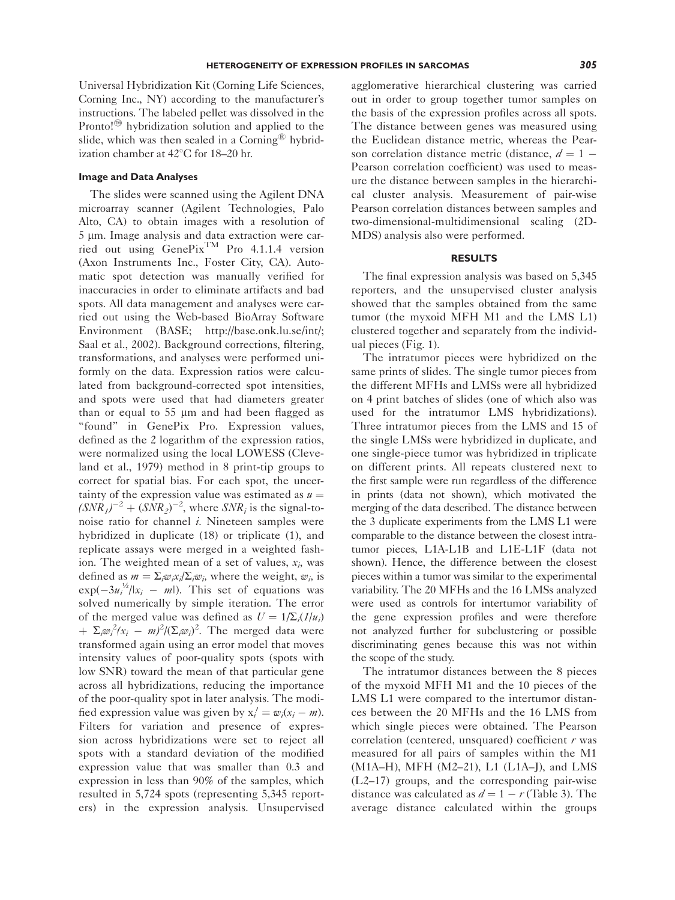Universal Hybridization Kit (Corning Life Sciences, Corning Inc., NY) according to the manufacturer's instructions. The labeled pellet was dissolved in the Pronto! $\mathfrak{D}$  hybridization solution and applied to the slide, which was then sealed in a Corning<sup>®</sup> hybridization chamber at  $42^{\circ}$ C for 18–20 hr.

## Image and Data Analyses

The slides were scanned using the Agilent DNA microarray scanner (Agilent Technologies, Palo Alto, CA) to obtain images with a resolution of 5 µm. Image analysis and data extraction were carried out using  $GenePix^{TM}$  Pro 4.1.1.4 version (Axon Instruments Inc., Foster City, CA). Automatic spot detection was manually verified for inaccuracies in order to eliminate artifacts and bad spots. All data management and analyses were carried out using the Web-based BioArray Software Environment (BASE; http://base.onk.lu.se/int/; Saal et al., 2002). Background corrections, filtering, transformations, and analyses were performed uniformly on the data. Expression ratios were calculated from background-corrected spot intensities, and spots were used that had diameters greater than or equal to  $55 \mu m$  and had been flagged as "found" in GenePix Pro. Expression values, defined as the 2 logarithm of the expression ratios, were normalized using the local LOWESS (Cleveland et al., 1979) method in 8 print-tip groups to correct for spatial bias. For each spot, the uncertainty of the expression value was estimated as  $u =$  $(SNR<sub>1</sub>)<sup>-2</sup> + (SNR<sub>2</sub>)<sup>-2</sup>$ , where  $SNR<sub>i</sub>$  is the signal-tonoise ratio for channel  $i$ . Nineteen samples were hybridized in duplicate (18) or triplicate (1), and replicate assays were merged in a weighted fashion. The weighted mean of a set of values,  $x_i$ , was defined as  $m = \sum_i w_i x_i / \sum_i w_i$ , where the weight, w<sub>i</sub>, is  $exp(-3u_i^{1/2}/|x_i - m|)$ . This set of equations was solved numerically by simple iteration. The error of the merged value was defined as  $U = 1/\sum_i (1/u_i)$ +  $\Sigma_i \omega_i^2 (x_i - m)^2 / (\Sigma_i \omega_i)^2$ . The merged data were transformed again using an error model that moves intensity values of poor-quality spots (spots with low SNR) toward the mean of that particular gene across all hybridizations, reducing the importance of the poor-quality spot in later analysis. The modified expression value was given by  $x'_i = w_i(x_i - m)$ . Filters for variation and presence of expression across hybridizations were set to reject all spots with a standard deviation of the modified expression value that was smaller than 0.3 and expression in less than 90% of the samples, which resulted in 5,724 spots (representing 5,345 reporters) in the expression analysis. Unsupervised

agglomerative hierarchical clustering was carried out in order to group together tumor samples on the basis of the expression profiles across all spots. The distance between genes was measured using the Euclidean distance metric, whereas the Pearson correlation distance metric (distance,  $d = 1 - \frac{1}{2}$ Pearson correlation coefficient) was used to measure the distance between samples in the hierarchical cluster analysis. Measurement of pair-wise Pearson correlation distances between samples and two-dimensional-multidimensional scaling (2D-MDS) analysis also were performed.

# RESULTS

The final expression analysis was based on 5,345 reporters, and the unsupervised cluster analysis showed that the samples obtained from the same tumor (the myxoid MFH M1 and the LMS L1) clustered together and separately from the individual pieces (Fig. 1).

The intratumor pieces were hybridized on the same prints of slides. The single tumor pieces from the different MFHs and LMSs were all hybridized on 4 print batches of slides (one of which also was used for the intratumor LMS hybridizations). Three intratumor pieces from the LMS and 15 of the single LMSs were hybridized in duplicate, and one single-piece tumor was hybridized in triplicate on different prints. All repeats clustered next to the first sample were run regardless of the difference in prints (data not shown), which motivated the merging of the data described. The distance between the 3 duplicate experiments from the LMS L1 were comparable to the distance between the closest intratumor pieces, L1A-L1B and L1E-L1F (data not shown). Hence, the difference between the closest pieces within a tumor was similar to the experimental variability. The 20 MFHs and the 16 LMSs analyzed were used as controls for intertumor variability of the gene expression profiles and were therefore not analyzed further for subclustering or possible discriminating genes because this was not within the scope of the study.

The intratumor distances between the 8 pieces of the myxoid MFH M1 and the 10 pieces of the LMS L1 were compared to the intertumor distances between the 20 MFHs and the 16 LMS from which single pieces were obtained. The Pearson correlation (centered, unsquared) coefficient  $r$  was measured for all pairs of samples within the M1 (M1A–H), MFH (M2–21), L1 (L1A–J), and LMS (L2–17) groups, and the corresponding pair-wise distance was calculated as  $d = 1 - r$  (Table 3). The average distance calculated within the groups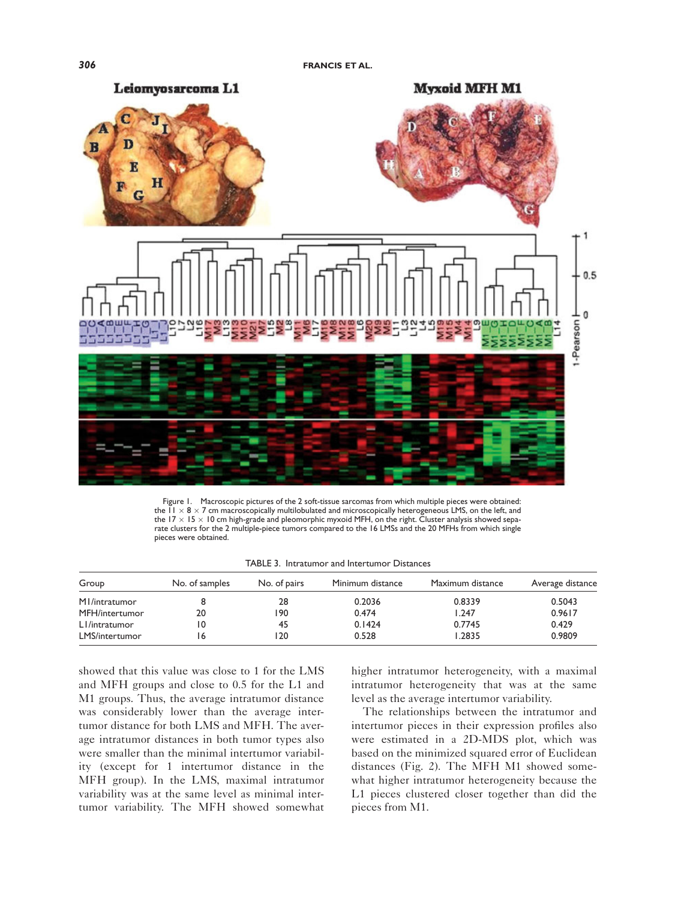

Figure 1. Macroscopic pictures of the 2 soft-tissue sarcomas from which multiple pieces were obtained: the  $1 \times 8 \times 7$  cm macroscopically multilobulated and microscopically heterogeneous LMS, on the left, and the  $17 \times 15 \times 10$  cm high-grade and pleomorphic myxoid MFH, on the right. Cluster analysis showed separate clusters for the 2 multiple-piece tumors compared to the 16 LMSs and the 20 MFHs from which single pieces were obtained.

|  |  |  | TABLE 3. Intratumor and Intertumor Distances |  |
|--|--|--|----------------------------------------------|--|
|--|--|--|----------------------------------------------|--|

| Group          | No. of samples | No. of pairs | Minimum distance | Maximum distance | Average distance |
|----------------|----------------|--------------|------------------|------------------|------------------|
| M1/intratumor  |                | 28           | 0.2036           | 0.8339           | 0.5043           |
| MFH/intertumor | 20             | '90          | 0.474            | 1.247            | 0.9617           |
| LI/intratumor  | 0              | 45           | 0.1424           | 0.7745           | 0.429            |
| LMS/intertumor | '6             | 20           | 0.528            | .2835            | 0.9809           |

showed that this value was close to 1 for the LMS and MFH groups and close to 0.5 for the L1 and M1 groups. Thus, the average intratumor distance was considerably lower than the average intertumor distance for both LMS and MFH. The average intratumor distances in both tumor types also were smaller than the minimal intertumor variability (except for 1 intertumor distance in the MFH group). In the LMS, maximal intratumor variability was at the same level as minimal intertumor variability. The MFH showed somewhat higher intratumor heterogeneity, with a maximal intratumor heterogeneity that was at the same level as the average intertumor variability.

The relationships between the intratumor and intertumor pieces in their expression profiles also were estimated in a 2D-MDS plot, which was based on the minimized squared error of Euclidean distances (Fig. 2). The MFH M1 showed somewhat higher intratumor heterogeneity because the L1 pieces clustered closer together than did the pieces from M1.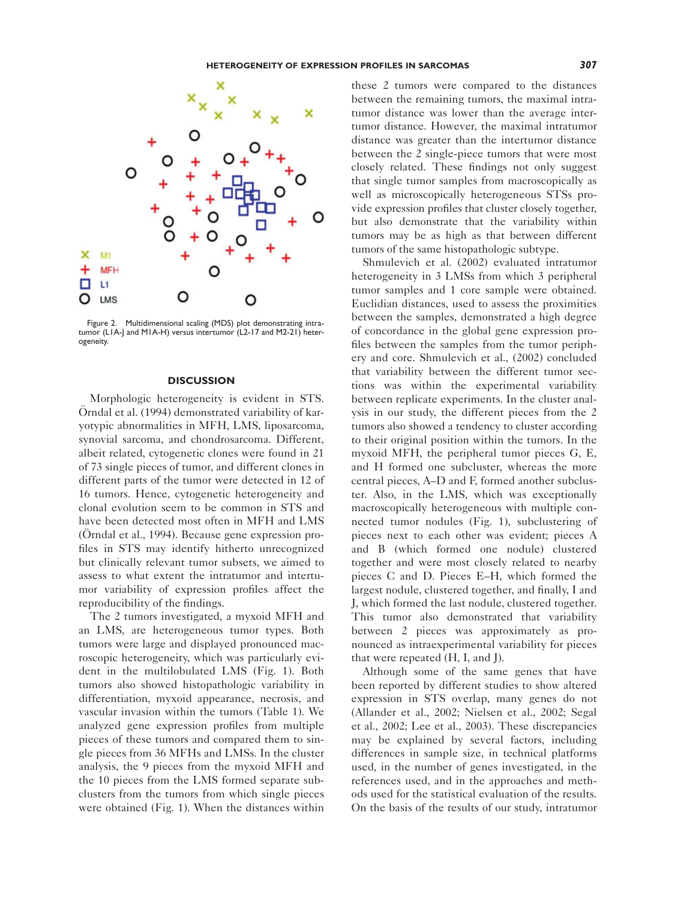

Figure 2. Multidimensional scaling (MDS) plot demonstrating intratumor (L1A-J and M1A-H) versus intertumor (L2-17 and M2-21) heterogeneity.

## **DISCUSSION**

Morphologic heterogeneity is evident in STS. Örndal et al. (1994) demonstrated variability of karyotypic abnormalities in MFH, LMS, liposarcoma, synovial sarcoma, and chondrosarcoma. Different, albeit related, cytogenetic clones were found in 21 of 73 single pieces of tumor, and different clones in different parts of the tumor were detected in 12 of 16 tumors. Hence, cytogenetic heterogeneity and clonal evolution seem to be common in STS and have been detected most often in MFH and LMS (Örndal et al., 1994). Because gene expression profiles in STS may identify hitherto unrecognized but clinically relevant tumor subsets, we aimed to assess to what extent the intratumor and intertumor variability of expression profiles affect the reproducibility of the findings.

The 2 tumors investigated, a myxoid MFH and an LMS, are heterogeneous tumor types. Both tumors were large and displayed pronounced macroscopic heterogeneity, which was particularly evident in the multilobulated LMS (Fig. 1). Both tumors also showed histopathologic variability in differentiation, myxoid appearance, necrosis, and vascular invasion within the tumors (Table 1). We analyzed gene expression profiles from multiple pieces of these tumors and compared them to single pieces from 36 MFHs and LMSs. In the cluster analysis, the 9 pieces from the myxoid MFH and the 10 pieces from the LMS formed separate subclusters from the tumors from which single pieces were obtained (Fig. 1). When the distances within

these 2 tumors were compared to the distances between the remaining tumors, the maximal intratumor distance was lower than the average intertumor distance. However, the maximal intratumor distance was greater than the intertumor distance between the 2 single-piece tumors that were most closely related. These findings not only suggest that single tumor samples from macroscopically as well as microscopically heterogeneous STSs provide expression profiles that cluster closely together, but also demonstrate that the variability within tumors may be as high as that between different tumors of the same histopathologic subtype.

Shmulevich et al. (2002) evaluated intratumor heterogeneity in 3 LMSs from which 3 peripheral tumor samples and 1 core sample were obtained. Euclidian distances, used to assess the proximities between the samples, demonstrated a high degree of concordance in the global gene expression profiles between the samples from the tumor periphery and core. Shmulevich et al., (2002) concluded that variability between the different tumor sections was within the experimental variability between replicate experiments. In the cluster analysis in our study, the different pieces from the 2 tumors also showed a tendency to cluster according to their original position within the tumors. In the myxoid MFH, the peripheral tumor pieces G, E, and H formed one subcluster, whereas the more central pieces, A–D and F, formed another subcluster. Also, in the LMS, which was exceptionally macroscopically heterogeneous with multiple connected tumor nodules (Fig. 1), subclustering of pieces next to each other was evident; pieces A and B (which formed one nodule) clustered together and were most closely related to nearby pieces C and D. Pieces E–H, which formed the largest nodule, clustered together, and finally, I and J, which formed the last nodule, clustered together. This tumor also demonstrated that variability between 2 pieces was approximately as pronounced as intraexperimental variability for pieces that were repeated (H, I, and J).

Although some of the same genes that have been reported by different studies to show altered expression in STS overlap, many genes do not (Allander et al., 2002; Nielsen et al., 2002; Segal et al., 2002; Lee et al., 2003). These discrepancies may be explained by several factors, including differences in sample size, in technical platforms used, in the number of genes investigated, in the references used, and in the approaches and methods used for the statistical evaluation of the results. On the basis of the results of our study, intratumor